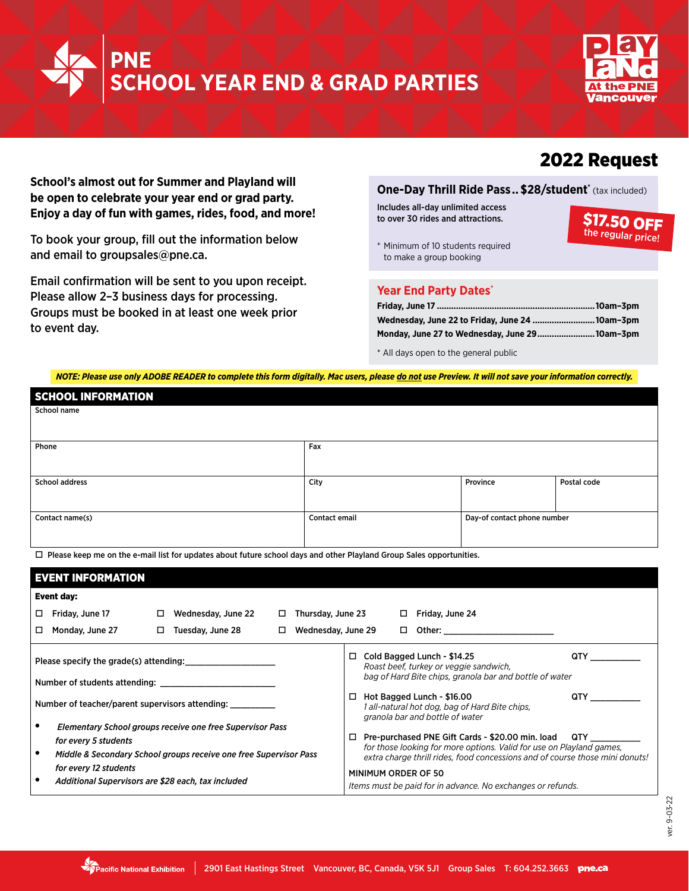



## 2022 Request

**School's almost out for Summer and Playland will be open to celebrate your year end or grad party. Enjoy a day of fun with games, rides, food, and more!**

To book your group, fill out the information below and email to groupsales@pne.ca.

Email confirmation will be sent to you upon receipt. Please allow 2–3 business days for processing. Groups must be booked in at least one week prior to event day.

### **One-Day Thrill Ride Pass.. \$28/student\*** (tax included)

Includes all-day unlimited access to over 30 rides and attractions.

\$17.50 OFF

\* Minimum of 10 students required to make a group booking

#### **Year End Party Dates\***

| Wednesday, June 22 to Friday, June 24 10am-3pm |  |
|------------------------------------------------|--|
| Monday, June 27 to Wednesday, June 29 10am-3pm |  |

\* All days open to the general public

*NOTE: Please use only ADOBE READER to complete this form digitally. Mac users, please do not use Preview. It will not save your information correctly.*

| <b>SCHOOL INFORMATION</b> |               |                             |             |
|---------------------------|---------------|-----------------------------|-------------|
| School name               |               |                             |             |
|                           |               |                             |             |
| Phone                     | Fax           |                             |             |
|                           |               |                             |             |
| <b>School address</b>     | City          | Province                    | Postal code |
|                           |               |                             |             |
| Contact name(s)           | Contact email | Day-of contact phone number |             |
|                           |               |                             |             |

 $\Box$  Please keep me on the e-mail list for updates about future school days and other Playland Group Sales opportunities.

| <b>EVENT INFORMATION</b>                        |                                                                                                     |   |                                                                                                                                |                            |                    |                                                                                   |                             |  |                                                                                                                                                                                                                                                                             |     |
|-------------------------------------------------|-----------------------------------------------------------------------------------------------------|---|--------------------------------------------------------------------------------------------------------------------------------|----------------------------|--------------------|-----------------------------------------------------------------------------------|-----------------------------|--|-----------------------------------------------------------------------------------------------------------------------------------------------------------------------------------------------------------------------------------------------------------------------------|-----|
| Event day:                                      |                                                                                                     |   |                                                                                                                                |                            |                    |                                                                                   |                             |  |                                                                                                                                                                                                                                                                             |     |
| □                                               | Friday, June 17                                                                                     | □ | Wednesday, June 22                                                                                                             | □                          | Thursday, June 23  |                                                                                   |                             |  | Friday, June 24                                                                                                                                                                                                                                                             |     |
| □                                               | Monday, June 27                                                                                     | □ | Tuesday, June 28                                                                                                               | □                          | Wednesday, June 29 |                                                                                   | □                           |  | Other: when the contract of the contract of the contract of the contract of the contract of the contract of the                                                                                                                                                             |     |
|                                                 |                                                                                                     |   | Please specify the grade(s) attending:<br>Number of students attending: Number of students attending:                          |                            |                    | □                                                                                 | Cold Bagged Lunch - \$14.25 |  | Roast beef, turkey or veggie sandwich,<br>bag of Hard Bite chips, granola bar and bottle of water                                                                                                                                                                           | QTY |
| Number of teacher/parent supervisors attending: |                                                                                                     |   | □                                                                                                                              | Hot Bagged Lunch - \$16.00 |                    | 1 all-natural hot dog, bag of Hard Bite chips,<br>granola bar and bottle of water | <b>QTY</b>                  |  |                                                                                                                                                                                                                                                                             |     |
|                                                 | for every 5 students<br>for every 12 students<br>Additional Supervisors are \$28 each, tax included |   | Elementary School groups receive one free Supervisor Pass<br>Middle & Secondary School groups receive one free Supervisor Pass |                            |                    | □                                                                                 | MINIMUM ORDER OF 50         |  | Pre-purchased PNE Gift Cards - \$20.00 min. load QTY<br>for those looking for more options. Valid for use on Playland games,<br>extra charge thrill rides, food concessions and of course those mini donuts!<br>Items must be paid for in advance. No exchanges or refunds. |     |